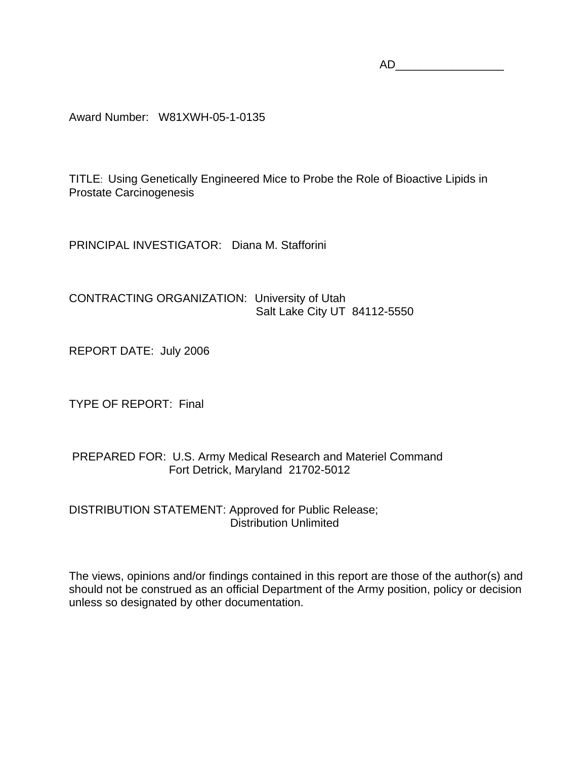$AD$ 

Award Number: W81XWH-05-1-0135

TITLE: Using Genetically Engineered Mice to Probe the Role of Bioactive Lipids in Prostate Carcinogenesis

PRINCIPAL INVESTIGATOR: Diana M. Stafforini

CONTRACTING ORGANIZATION: University of Utah Salt Lake City UT 84112-5550

REPORT DATE: July 2006

TYPE OF REPORT: Final

# PREPARED FOR: U.S. Army Medical Research and Materiel Command Fort Detrick, Maryland 21702-5012

DISTRIBUTION STATEMENT: Approved for Public Release; Distribution Unlimited

The views, opinions and/or findings contained in this report are those of the author(s) and should not be construed as an official Department of the Army position, policy or decision unless so designated by other documentation.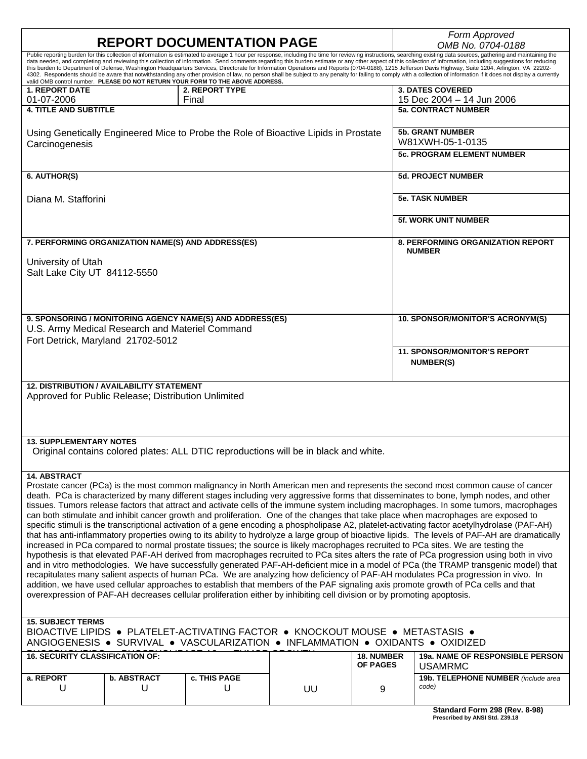|                                                                                                                                                                                                                                                                                                                                                                                                                            | <b>REPORT DOCUMENTATION PAGE</b>                   |                                                                                      | Form Approved<br>OMB No. 0704-0188                                                                                                                                                                                    |                   |                                                                                                                                                                                                                                                                               |  |  |  |  |  |  |
|----------------------------------------------------------------------------------------------------------------------------------------------------------------------------------------------------------------------------------------------------------------------------------------------------------------------------------------------------------------------------------------------------------------------------|----------------------------------------------------|--------------------------------------------------------------------------------------|-----------------------------------------------------------------------------------------------------------------------------------------------------------------------------------------------------------------------|-------------------|-------------------------------------------------------------------------------------------------------------------------------------------------------------------------------------------------------------------------------------------------------------------------------|--|--|--|--|--|--|
|                                                                                                                                                                                                                                                                                                                                                                                                                            |                                                    |                                                                                      | Public reporting burden for this collection of information is estimated to average 1 hour per response, including the time for reviewing instructions, searching existing data sources, gathering and maintaining the |                   |                                                                                                                                                                                                                                                                               |  |  |  |  |  |  |
| data needed, and completing and reviewing this collection of information. Send comments regarding this burden estimate or any other aspect of this collection of information, including suggestions for reducing<br>this burden to Department of Defense, Washington Headquarters Services, Directorate for Information Operations and Reports (0704-0188), 1215 Jefferson Davis Highway, Suite 1204, Arlington, VA 22202- |                                                    |                                                                                      |                                                                                                                                                                                                                       |                   |                                                                                                                                                                                                                                                                               |  |  |  |  |  |  |
|                                                                                                                                                                                                                                                                                                                                                                                                                            |                                                    | valid OMB control number. PLEASE DO NOT RETURN YOUR FORM TO THE ABOVE ADDRESS.       |                                                                                                                                                                                                                       |                   | 4302. Respondents should be aware that notwithstanding any other provision of law, no person shall be subject to any penalty for failing to comply with a collection of information if it does not display a currently                                                        |  |  |  |  |  |  |
| <b>1. REPORT DATE</b>                                                                                                                                                                                                                                                                                                                                                                                                      |                                                    | 2. REPORT TYPE                                                                       |                                                                                                                                                                                                                       |                   | <b>3. DATES COVERED</b>                                                                                                                                                                                                                                                       |  |  |  |  |  |  |
| 01-07-2006                                                                                                                                                                                                                                                                                                                                                                                                                 |                                                    | Final                                                                                |                                                                                                                                                                                                                       |                   | 15 Dec 2004 - 14 Jun 2006                                                                                                                                                                                                                                                     |  |  |  |  |  |  |
| <b>4. TITLE AND SUBTITLE</b>                                                                                                                                                                                                                                                                                                                                                                                               |                                                    |                                                                                      |                                                                                                                                                                                                                       |                   | <b>5a. CONTRACT NUMBER</b>                                                                                                                                                                                                                                                    |  |  |  |  |  |  |
|                                                                                                                                                                                                                                                                                                                                                                                                                            |                                                    |                                                                                      |                                                                                                                                                                                                                       |                   |                                                                                                                                                                                                                                                                               |  |  |  |  |  |  |
|                                                                                                                                                                                                                                                                                                                                                                                                                            |                                                    | Using Genetically Engineered Mice to Probe the Role of Bioactive Lipids in Prostate  |                                                                                                                                                                                                                       |                   | <b>5b. GRANT NUMBER</b>                                                                                                                                                                                                                                                       |  |  |  |  |  |  |
| Carcinogenesis                                                                                                                                                                                                                                                                                                                                                                                                             |                                                    |                                                                                      |                                                                                                                                                                                                                       | W81XWH-05-1-0135  |                                                                                                                                                                                                                                                                               |  |  |  |  |  |  |
|                                                                                                                                                                                                                                                                                                                                                                                                                            |                                                    |                                                                                      |                                                                                                                                                                                                                       |                   | <b>5c. PROGRAM ELEMENT NUMBER</b>                                                                                                                                                                                                                                             |  |  |  |  |  |  |
|                                                                                                                                                                                                                                                                                                                                                                                                                            |                                                    |                                                                                      |                                                                                                                                                                                                                       |                   |                                                                                                                                                                                                                                                                               |  |  |  |  |  |  |
| 6. AUTHOR(S)                                                                                                                                                                                                                                                                                                                                                                                                               |                                                    |                                                                                      |                                                                                                                                                                                                                       |                   | <b>5d. PROJECT NUMBER</b>                                                                                                                                                                                                                                                     |  |  |  |  |  |  |
|                                                                                                                                                                                                                                                                                                                                                                                                                            |                                                    |                                                                                      |                                                                                                                                                                                                                       |                   |                                                                                                                                                                                                                                                                               |  |  |  |  |  |  |
| Diana M. Stafforini                                                                                                                                                                                                                                                                                                                                                                                                        |                                                    |                                                                                      |                                                                                                                                                                                                                       |                   | <b>5e. TASK NUMBER</b>                                                                                                                                                                                                                                                        |  |  |  |  |  |  |
|                                                                                                                                                                                                                                                                                                                                                                                                                            |                                                    |                                                                                      |                                                                                                                                                                                                                       |                   |                                                                                                                                                                                                                                                                               |  |  |  |  |  |  |
|                                                                                                                                                                                                                                                                                                                                                                                                                            |                                                    |                                                                                      |                                                                                                                                                                                                                       |                   | 5f. WORK UNIT NUMBER                                                                                                                                                                                                                                                          |  |  |  |  |  |  |
|                                                                                                                                                                                                                                                                                                                                                                                                                            |                                                    |                                                                                      |                                                                                                                                                                                                                       |                   |                                                                                                                                                                                                                                                                               |  |  |  |  |  |  |
|                                                                                                                                                                                                                                                                                                                                                                                                                            | 7. PERFORMING ORGANIZATION NAME(S) AND ADDRESS(ES) |                                                                                      |                                                                                                                                                                                                                       |                   | <b>8. PERFORMING ORGANIZATION REPORT</b>                                                                                                                                                                                                                                      |  |  |  |  |  |  |
|                                                                                                                                                                                                                                                                                                                                                                                                                            |                                                    |                                                                                      |                                                                                                                                                                                                                       |                   | <b>NUMBER</b>                                                                                                                                                                                                                                                                 |  |  |  |  |  |  |
| University of Utah                                                                                                                                                                                                                                                                                                                                                                                                         |                                                    |                                                                                      |                                                                                                                                                                                                                       |                   |                                                                                                                                                                                                                                                                               |  |  |  |  |  |  |
| Salt Lake City UT 84112-5550                                                                                                                                                                                                                                                                                                                                                                                               |                                                    |                                                                                      |                                                                                                                                                                                                                       |                   |                                                                                                                                                                                                                                                                               |  |  |  |  |  |  |
|                                                                                                                                                                                                                                                                                                                                                                                                                            |                                                    |                                                                                      |                                                                                                                                                                                                                       |                   |                                                                                                                                                                                                                                                                               |  |  |  |  |  |  |
|                                                                                                                                                                                                                                                                                                                                                                                                                            |                                                    |                                                                                      |                                                                                                                                                                                                                       |                   |                                                                                                                                                                                                                                                                               |  |  |  |  |  |  |
|                                                                                                                                                                                                                                                                                                                                                                                                                            |                                                    |                                                                                      |                                                                                                                                                                                                                       |                   |                                                                                                                                                                                                                                                                               |  |  |  |  |  |  |
|                                                                                                                                                                                                                                                                                                                                                                                                                            |                                                    | 9. SPONSORING / MONITORING AGENCY NAME(S) AND ADDRESS(ES)                            |                                                                                                                                                                                                                       |                   | 10. SPONSOR/MONITOR'S ACRONYM(S)                                                                                                                                                                                                                                              |  |  |  |  |  |  |
|                                                                                                                                                                                                                                                                                                                                                                                                                            | U.S. Army Medical Research and Materiel Command    |                                                                                      |                                                                                                                                                                                                                       |                   |                                                                                                                                                                                                                                                                               |  |  |  |  |  |  |
| Fort Detrick, Maryland 21702-5012                                                                                                                                                                                                                                                                                                                                                                                          |                                                    |                                                                                      |                                                                                                                                                                                                                       |                   |                                                                                                                                                                                                                                                                               |  |  |  |  |  |  |
|                                                                                                                                                                                                                                                                                                                                                                                                                            |                                                    |                                                                                      |                                                                                                                                                                                                                       |                   | <b>11. SPONSOR/MONITOR'S REPORT</b>                                                                                                                                                                                                                                           |  |  |  |  |  |  |
|                                                                                                                                                                                                                                                                                                                                                                                                                            |                                                    |                                                                                      |                                                                                                                                                                                                                       |                   | <b>NUMBER(S)</b>                                                                                                                                                                                                                                                              |  |  |  |  |  |  |
|                                                                                                                                                                                                                                                                                                                                                                                                                            |                                                    |                                                                                      |                                                                                                                                                                                                                       |                   |                                                                                                                                                                                                                                                                               |  |  |  |  |  |  |
|                                                                                                                                                                                                                                                                                                                                                                                                                            | <b>12. DISTRIBUTION / AVAILABILITY STATEMENT</b>   |                                                                                      |                                                                                                                                                                                                                       |                   |                                                                                                                                                                                                                                                                               |  |  |  |  |  |  |
| Approved for Public Release; Distribution Unlimited                                                                                                                                                                                                                                                                                                                                                                        |                                                    |                                                                                      |                                                                                                                                                                                                                       |                   |                                                                                                                                                                                                                                                                               |  |  |  |  |  |  |
|                                                                                                                                                                                                                                                                                                                                                                                                                            |                                                    |                                                                                      |                                                                                                                                                                                                                       |                   |                                                                                                                                                                                                                                                                               |  |  |  |  |  |  |
|                                                                                                                                                                                                                                                                                                                                                                                                                            |                                                    |                                                                                      |                                                                                                                                                                                                                       |                   |                                                                                                                                                                                                                                                                               |  |  |  |  |  |  |
|                                                                                                                                                                                                                                                                                                                                                                                                                            |                                                    |                                                                                      |                                                                                                                                                                                                                       |                   |                                                                                                                                                                                                                                                                               |  |  |  |  |  |  |
| <b>13. SUPPLEMENTARY NOTES</b>                                                                                                                                                                                                                                                                                                                                                                                             |                                                    |                                                                                      |                                                                                                                                                                                                                       |                   |                                                                                                                                                                                                                                                                               |  |  |  |  |  |  |
|                                                                                                                                                                                                                                                                                                                                                                                                                            |                                                    | Original contains colored plates: ALL DTIC reproductions will be in black and white. |                                                                                                                                                                                                                       |                   |                                                                                                                                                                                                                                                                               |  |  |  |  |  |  |
|                                                                                                                                                                                                                                                                                                                                                                                                                            |                                                    |                                                                                      |                                                                                                                                                                                                                       |                   |                                                                                                                                                                                                                                                                               |  |  |  |  |  |  |
| 14. ABSTRACT                                                                                                                                                                                                                                                                                                                                                                                                               |                                                    |                                                                                      |                                                                                                                                                                                                                       |                   |                                                                                                                                                                                                                                                                               |  |  |  |  |  |  |
|                                                                                                                                                                                                                                                                                                                                                                                                                            |                                                    |                                                                                      |                                                                                                                                                                                                                       |                   | Prostate cancer (PCa) is the most common malignancy in North American men and represents the second most common cause of cancer                                                                                                                                               |  |  |  |  |  |  |
|                                                                                                                                                                                                                                                                                                                                                                                                                            |                                                    |                                                                                      |                                                                                                                                                                                                                       |                   | death. PCa is characterized by many different stages including very aggressive forms that disseminates to bone, lymph nodes, and other                                                                                                                                        |  |  |  |  |  |  |
|                                                                                                                                                                                                                                                                                                                                                                                                                            |                                                    |                                                                                      |                                                                                                                                                                                                                       |                   | tissues. Tumors release factors that attract and activate cells of the immune system including macrophages. In some tumors, macrophages                                                                                                                                       |  |  |  |  |  |  |
| can both stimulate and inhibit cancer growth and proliferation. One of the changes that take place when macrophages are exposed to                                                                                                                                                                                                                                                                                         |                                                    |                                                                                      |                                                                                                                                                                                                                       |                   |                                                                                                                                                                                                                                                                               |  |  |  |  |  |  |
|                                                                                                                                                                                                                                                                                                                                                                                                                            |                                                    |                                                                                      |                                                                                                                                                                                                                       |                   | specific stimuli is the transcriptional activation of a gene encoding a phospholipase A2, platelet-activating factor acetylhydrolase (PAF-AH)                                                                                                                                 |  |  |  |  |  |  |
|                                                                                                                                                                                                                                                                                                                                                                                                                            |                                                    |                                                                                      |                                                                                                                                                                                                                       |                   | that has anti-inflammatory properties owing to its ability to hydrolyze a large group of bioactive lipids. The levels of PAF-AH are dramatically                                                                                                                              |  |  |  |  |  |  |
|                                                                                                                                                                                                                                                                                                                                                                                                                            |                                                    |                                                                                      |                                                                                                                                                                                                                       |                   | increased in PCa compared to normal prostate tissues; the source is likely macrophages recruited to PCa sites. We are testing the<br>hypothesis is that elevated PAF-AH derived from macrophages recruited to PCa sites alters the rate of PCa progression using both in vivo |  |  |  |  |  |  |
|                                                                                                                                                                                                                                                                                                                                                                                                                            |                                                    |                                                                                      |                                                                                                                                                                                                                       |                   | and in vitro methodologies. We have successfully generated PAF-AH-deficient mice in a model of PCa (the TRAMP transgenic model) that                                                                                                                                          |  |  |  |  |  |  |
|                                                                                                                                                                                                                                                                                                                                                                                                                            |                                                    |                                                                                      |                                                                                                                                                                                                                       |                   |                                                                                                                                                                                                                                                                               |  |  |  |  |  |  |
| recapitulates many salient aspects of human PCa. We are analyzing how deficiency of PAF-AH modulates PCa progression in vivo. In<br>addition, we have used cellular approaches to establish that members of the PAF signaling axis promote growth of PCa cells and that                                                                                                                                                    |                                                    |                                                                                      |                                                                                                                                                                                                                       |                   |                                                                                                                                                                                                                                                                               |  |  |  |  |  |  |
| overexpression of PAF-AH decreases cellular proliferation either by inhibiting cell division or by promoting apoptosis.                                                                                                                                                                                                                                                                                                    |                                                    |                                                                                      |                                                                                                                                                                                                                       |                   |                                                                                                                                                                                                                                                                               |  |  |  |  |  |  |
|                                                                                                                                                                                                                                                                                                                                                                                                                            |                                                    |                                                                                      |                                                                                                                                                                                                                       |                   |                                                                                                                                                                                                                                                                               |  |  |  |  |  |  |
|                                                                                                                                                                                                                                                                                                                                                                                                                            |                                                    |                                                                                      |                                                                                                                                                                                                                       |                   |                                                                                                                                                                                                                                                                               |  |  |  |  |  |  |
| <b>15. SUBJECT TERMS</b>                                                                                                                                                                                                                                                                                                                                                                                                   |                                                    |                                                                                      |                                                                                                                                                                                                                       |                   |                                                                                                                                                                                                                                                                               |  |  |  |  |  |  |
| BIOACTIVE LIPIDS ● PLATELET-ACTIVATING FACTOR ● KNOCKOUT MOUSE ● METASTASIS ●                                                                                                                                                                                                                                                                                                                                              |                                                    |                                                                                      |                                                                                                                                                                                                                       |                   |                                                                                                                                                                                                                                                                               |  |  |  |  |  |  |
| ANGIOGENESIS • SURVIVAL • VASCULARIZATION • INFLAMMATION • OXIDANTS • OXIDIZED                                                                                                                                                                                                                                                                                                                                             |                                                    |                                                                                      |                                                                                                                                                                                                                       |                   |                                                                                                                                                                                                                                                                               |  |  |  |  |  |  |
| <b>16. SECURITY CLASSIFICATION OF:</b>                                                                                                                                                                                                                                                                                                                                                                                     |                                                    |                                                                                      |                                                                                                                                                                                                                       | <b>18. NUMBER</b> | 19a. NAME OF RESPONSIBLE PERSON                                                                                                                                                                                                                                               |  |  |  |  |  |  |
|                                                                                                                                                                                                                                                                                                                                                                                                                            |                                                    |                                                                                      |                                                                                                                                                                                                                       | <b>OF PAGES</b>   | <b>USAMRMC</b>                                                                                                                                                                                                                                                                |  |  |  |  |  |  |
| a. REPORT                                                                                                                                                                                                                                                                                                                                                                                                                  | <b>b. ABSTRACT</b>                                 | <b>c. THIS PAGE</b>                                                                  |                                                                                                                                                                                                                       |                   | 19b. TELEPHONE NUMBER (include area                                                                                                                                                                                                                                           |  |  |  |  |  |  |
| U                                                                                                                                                                                                                                                                                                                                                                                                                          | U                                                  | U                                                                                    | UU                                                                                                                                                                                                                    | 9                 | code)                                                                                                                                                                                                                                                                         |  |  |  |  |  |  |
|                                                                                                                                                                                                                                                                                                                                                                                                                            |                                                    |                                                                                      |                                                                                                                                                                                                                       |                   |                                                                                                                                                                                                                                                                               |  |  |  |  |  |  |
|                                                                                                                                                                                                                                                                                                                                                                                                                            |                                                    |                                                                                      |                                                                                                                                                                                                                       |                   | Standard Form 298 (Rev. 8-98)                                                                                                                                                                                                                                                 |  |  |  |  |  |  |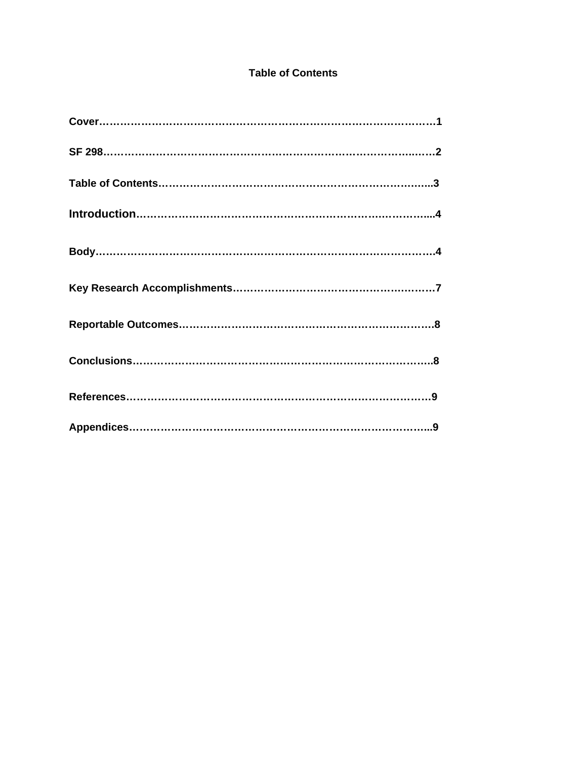# **Table of Contents**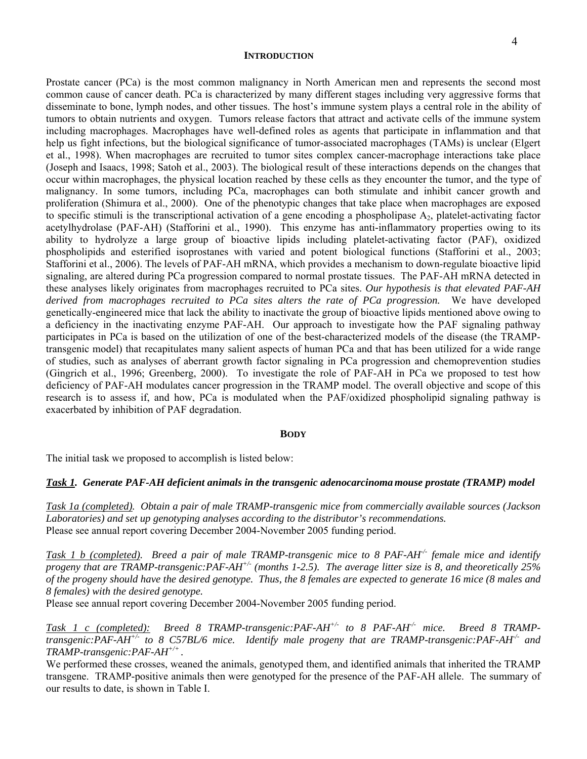#### **INTRODUCTION**

Prostate cancer (PCa) is the most common malignancy in North American men and represents the second most common cause of cancer death. PCa is characterized by many different stages including very aggressive forms that disseminate to bone, lymph nodes, and other tissues. The host's immune system plays a central role in the ability of tumors to obtain nutrients and oxygen. Tumors release factors that attract and activate cells of the immune system including macrophages. Macrophages have well-defined roles as agents that participate in inflammation and that help us fight infections, but the biological significance of tumor-associated macrophages (TAMs) is unclear (Elgert et al., 1998). When macrophages are recruited to tumor sites complex cancer-macrophage interactions take place (Joseph and Isaacs, 1998; Satoh et al., 2003). The biological result of these interactions depends on the changes that occur within macrophages, the physical location reached by these cells as they encounter the tumor, and the type of malignancy. In some tumors, including PCa, macrophages can both stimulate and inhibit cancer growth and proliferation (Shimura et al., 2000). One of the phenotypic changes that take place when macrophages are exposed to specific stimuli is the transcriptional activation of a gene encoding a phospholipase  $A_2$ , platelet-activating factor acetylhydrolase (PAF-AH) (Stafforini et al., 1990). This enzyme has anti-inflammatory properties owing to its ability to hydrolyze a large group of bioactive lipids including platelet-activating factor (PAF), oxidized phospholipids and esterified isoprostanes with varied and potent biological functions (Stafforini et al., 2003; Stafforini et al., 2006). The levels of PAF-AH mRNA, which provides a mechanism to down-regulate bioactive lipid signaling, are altered during PCa progression compared to normal prostate tissues. The PAF-AH mRNA detected in these analyses likely originates from macrophages recruited to PCa sites. *Our hypothesis is that elevated PAF-AH derived from macrophages recruited to PCa sites alters the rate of PCa progression.* We have developed genetically-engineered mice that lack the ability to inactivate the group of bioactive lipids mentioned above owing to a deficiency in the inactivating enzyme PAF-AH. Our approach to investigate how the PAF signaling pathway participates in PCa is based on the utilization of one of the best-characterized models of the disease (the TRAMPtransgenic model) that recapitulates many salient aspects of human PCa and that has been utilized for a wide range of studies, such as analyses of aberrant growth factor signaling in PCa progression and chemoprevention studies (Gingrich et al., 1996; Greenberg, 2000). To investigate the role of PAF-AH in PCa we proposed to test how deficiency of PAF-AH modulates cancer progression in the TRAMP model. The overall objective and scope of this research is to assess if, and how, PCa is modulated when the PAF/oxidized phospholipid signaling pathway is exacerbated by inhibition of PAF degradation.

#### **BODY**

The initial task we proposed to accomplish is listed below:

#### *Task 1. Generate PAF-AH deficient animals in the transgenic adenocarcinoma mouse prostate (TRAMP) model*

*Task 1a (completed). Obtain a pair of male TRAMP-transgenic mice from commercially available sources (Jackson Laboratories) and set up genotyping analyses according to the distributor's recommendations.*  Please see annual report covering December 2004-November 2005 funding period.

*Task 1 b (completed). Breed a pair of male TRAMP-transgenic mice to 8 PAF-AH<sup>-/-</sup> female mice and identify progeny that are TRAMP-transgenic:PAF-AH+/- (months 1-2.5). The average litter size is 8, and theoretically 25% of the progeny should have the desired genotype. Thus, the 8 females are expected to generate 16 mice (8 males and 8 females) with the desired genotype.* 

Please see annual report covering December 2004-November 2005 funding period.

Task 1 c (completed): Breed 8 TRAMP-transgenic:PAF-AH<sup>+/-</sup> to 8 PAF-AH<sup>-/-</sup> mice. Breed 8 TRAMP*transgenic:PAF-AH+/- to 8 C57BL/6 mice. Identify male progeny that are TRAMP-transgenic:PAF-AH-/- and TRAMP-transgenic:PAF-AH+/+ .* 

We performed these crosses, weaned the animals, genotyped them, and identified animals that inherited the TRAMP transgene. TRAMP-positive animals then were genotyped for the presence of the PAF-AH allele. The summary of our results to date, is shown in Table I.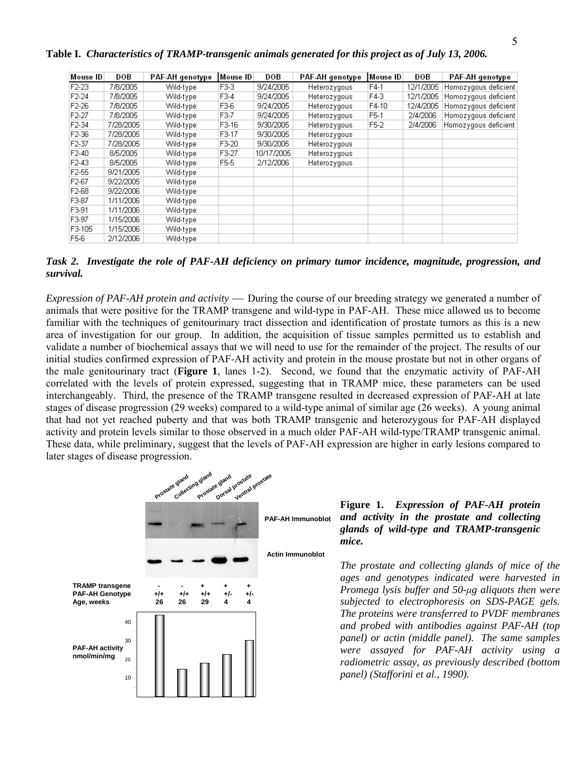**Table I.** *Characteristics of TRAMP-transgenic animals generated for this project as of July 13, 2006.* 

| Mouse ID           | DOB       | PAF-AH genotype | Mouse ID          | DOB        | PAF-AH genotype | Mouse ID | DOB       | PAF-AH genotype      |
|--------------------|-----------|-----------------|-------------------|------------|-----------------|----------|-----------|----------------------|
| F <sub>2</sub> -23 | 7/8/2005  | Wild-type       | F3-3              | 9/24/2005  | Heterozygous    | $F4-1$   | 12/1/2005 | Homozygous deficient |
| F <sub>2</sub> -24 | 7/8/2005  | Wild-type       | F3-4              | 9/24/2005  | Heterozygous    | F4-3     | 12/1/2005 | Homozygous deficient |
| $F2-26$            | 7/8/2005  | Wild-type       | F3-6              | 9/24/2005  | Heterozygous    | $F4-10$  | 12/4/2005 | Homozygous deficient |
| F <sub>2</sub> -27 | 7/8/2005  | Wild-type       | F3-7              | 9/24/2005  | Heterozygous    | F5-1     | 2/4/2006  | Homozygous deficient |
| F <sub>2</sub> -34 | 7/28/2005 | Wild-type       | F3-16             | 9/30/2005  | Heterozygous    | F5-2     | 2/4/2006  | Homozygous deficient |
| F2-36              | 7/28/2005 | Wild-type       | F3-17             | 9/30/2005  | Heterozygous    |          |           |                      |
| F <sub>2</sub> -37 | 7/28/2005 | Wild-type       | F3-20             | 9/30/2005  | Heterozygous    |          |           |                      |
| $F2-40$            | 8/5/2005  | Wild-type       | F3-27             | 10/17/2005 | Heterozygous    |          |           |                      |
| F <sub>2</sub> -43 | 8/5/2005  | Wild-type       | F <sub>5</sub> -5 | 2/12/2006  | Heterozygous    |          |           |                      |
| F <sub>2</sub> -55 | 9/21/2005 | Wild-type       |                   |            |                 |          |           |                      |
| F <sub>2-67</sub>  | 9/22/2005 | Wild-type       |                   |            |                 |          |           |                      |
| F2-68              | 9/22/2006 | Wild-type       |                   |            |                 |          |           |                      |
| F3-87              | 1/11/2006 | Wild-type       |                   |            |                 |          |           |                      |
| F3-91              | 1/11/2006 | Wild-type       |                   |            |                 |          |           |                      |
| F3-97              | 1/15/2006 | Wild-type       |                   |            |                 |          |           |                      |
| F3-105             | 1/15/2006 | Wild-type       |                   |            |                 |          |           |                      |
| F5-6               | 2/12/2006 | Wild-type       |                   |            |                 |          |           |                      |

*Task 2. Investigate the role of PAF-AH deficiency on primary tumor incidence, magnitude, progression, and survival.* 

*Expression of PAF-AH protein and activity* — During the course of our breeding strategy we generated a number of animals that were positive for the TRAMP transgene and wild-type in PAF-AH. These mice allowed us to become familiar with the techniques of genitourinary tract dissection and identification of prostate tumors as this is a new area of investigation for our group. In addition, the acquisition of tissue samples permitted us to establish and validate a number of biochemical assays that we will need to use for the remainder of the project. The results of our initial studies confirmed expression of PAF-AH activity and protein in the mouse prostate but not in other organs of the male genitourinary tract (**Figure 1**, lanes 1-2). Second, we found that the enzymatic activity of PAF-AH correlated with the levels of protein expressed, suggesting that in TRAMP mice, these parameters can be used interchangeably. Third, the presence of the TRAMP transgene resulted in decreased expression of PAF-AH at late stages of disease progression (29 weeks) compared to a wild-type animal of similar age (26 weeks). A young animal that had not yet reached puberty and that was both TRAMP transgenic and heterozygous for PAF-AH displayed activity and protein levels similar to those observed in a much older PAF-AH wild-type/TRAMP transgenic animal. These data, while preliminary, suggest that the levels of PAF-AH expression are higher in early lesions compared to later stages of disease progression.



# **Figure 1.** *Expression of PAF-AH protein and activity in the prostate and collecting glands of wild-type and TRAMP-transgenic mice.*

*The prostate and collecting glands of mice of the ages and genotypes indicated were harvested in Promega lysis buffer and 50-μg aliquots then were subjected to electrophoresis on SDS-PAGE gels. The proteins were transferred to PVDF membranes and probed with antibodies against PAF-AH (top panel) or actin (middle panel). The same samples were assayed for PAF-AH activity using a radiometric assay, as previously described (bottom panel) (Stafforini et al., 1990).*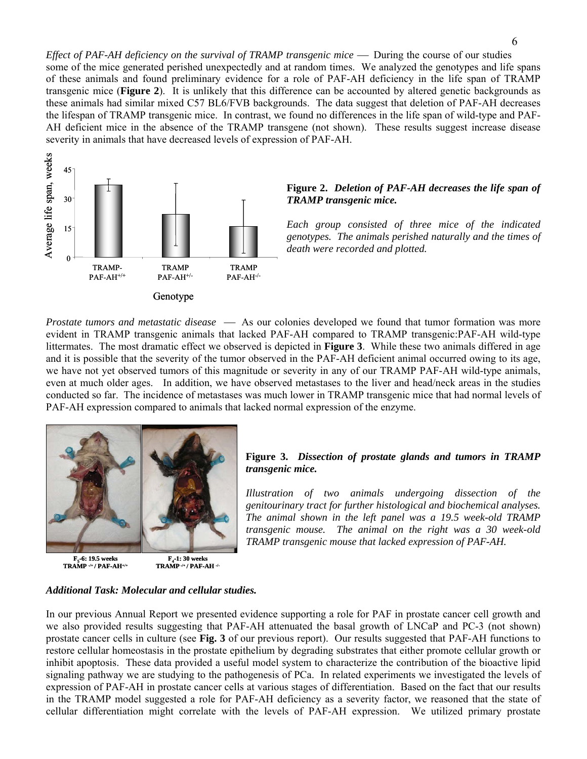*Effect of PAF-AH deficiency on the survival of TRAMP transgenic mice — During the course of our studies* some of the mice generated perished unexpectedly and at random times. We analyzed the genotypes and life spans of these animals and found preliminary evidence for a role of PAF-AH deficiency in the life span of TRAMP transgenic mice (**Figure 2**). It is unlikely that this difference can be accounted by altered genetic backgrounds as these animals had similar mixed C57 BL6/FVB backgrounds. The data suggest that deletion of PAF-AH decreases the lifespan of TRAMP transgenic mice. In contrast, we found no differences in the life span of wild-type and PAF-AH deficient mice in the absence of the TRAMP transgene (not shown). These results suggest increase disease severity in animals that have decreased levels of expression of PAF-AH.



### **Figure 2.** *Deletion of PAF-AH decreases the life span of TRAMP transgenic mice.*

*Each group consisted of three mice of the indicated genotypes. The animals perished naturally and the times of death were recorded and plotted.* 

*Prostate tumors and metastatic disease* — As our colonies developed we found that tumor formation was more evident in TRAMP transgenic animals that lacked PAF-AH compared to TRAMP transgenic:PAF-AH wild-type littermates. The most dramatic effect we observed is depicted in **Figure 3**. While these two animals differed in age and it is possible that the severity of the tumor observed in the PAF-AH deficient animal occurred owing to its age, we have not yet observed tumors of this magnitude or severity in any of our TRAMP PAF-AH wild-type animals, even at much older ages. In addition, we have observed metastases to the liver and head/neck areas in the studies conducted so far. The incidence of metastases was much lower in TRAMP transgenic mice that had normal levels of PAF-AH expression compared to animals that lacked normal expression of the enzyme.



**TRAMP -/+ / PAF-AH+/+**



# **Figure 3.** *Dissection of prostate glands and tumors in TRAMP transgenic mice.*

*Illustration of two animals undergoing dissection of the genitourinary tract for further histological and biochemical analyses. The animal shown in the left panel was a 19.5 week-old TRAMP transgenic mouse. The animal on the right was a 30 week-old TRAMP transgenic mouse that lacked expression of PAF-AH.* 

### *Additional Task: Molecular and cellular studies.*

In our previous Annual Report we presented evidence supporting a role for PAF in prostate cancer cell growth and we also provided results suggesting that PAF-AH attenuated the basal growth of LNCaP and PC-3 (not shown) prostate cancer cells in culture (see **Fig. 3** of our previous report). Our results suggested that PAF-AH functions to restore cellular homeostasis in the prostate epithelium by degrading substrates that either promote cellular growth or inhibit apoptosis. These data provided a useful model system to characterize the contribution of the bioactive lipid signaling pathway we are studying to the pathogenesis of PCa. In related experiments we investigated the levels of expression of PAF-AH in prostate cancer cells at various stages of differentiation. Based on the fact that our results in the TRAMP model suggested a role for PAF-AH deficiency as a severity factor, we reasoned that the state of cellular differentiation might correlate with the levels of PAF-AH expression. We utilized primary prostate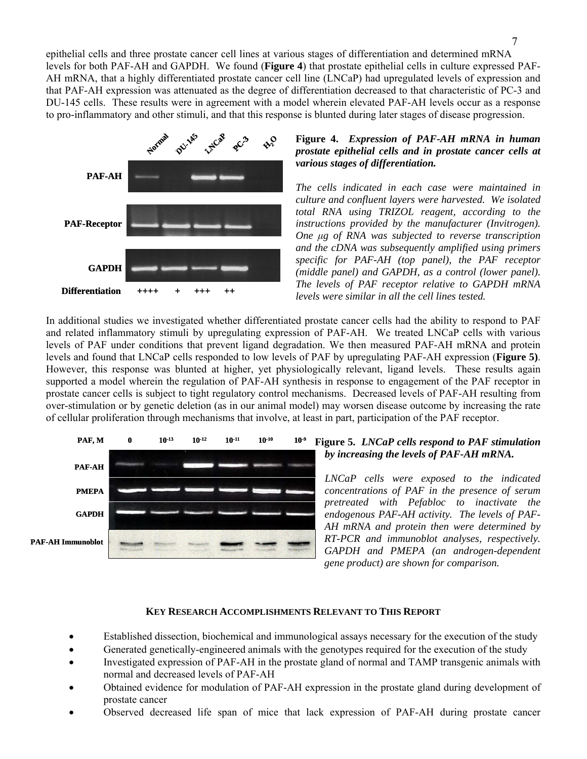epithelial cells and three prostate cancer cell lines at various stages of differentiation and determined mRNA levels for both PAF-AH and GAPDH. We found (**Figure 4**) that prostate epithelial cells in culture expressed PAF-AH mRNA, that a highly differentiated prostate cancer cell line (LNCaP) had upregulated levels of expression and that PAF-AH expression was attenuated as the degree of differentiation decreased to that characteristic of PC-3 and DU-145 cells. These results were in agreement with a model wherein elevated PAF-AH levels occur as a response to pro-inflammatory and other stimuli, and that this response is blunted during later stages of disease progression.



# **Figure 4.** *Expression of PAF-AH mRNA in human prostate epithelial cells and in prostate cancer cells at various stages of differentiation.*

*The cells indicated in each case were maintained in culture and confluent layers were harvested. We isolated total RNA using TRIZOL reagent, according to the instructions provided by the manufacturer (Invitrogen). One μg of RNA was subjected to reverse transcription and the cDNA was subsequently amplified using primers specific for PAF-AH (top panel), the PAF receptor (middle panel) and GAPDH, as a control (lower panel). The levels of PAF receptor relative to GAPDH mRNA levels were similar in all the cell lines tested.* 

In additional studies we investigated whether differentiated prostate cancer cells had the ability to respond to PAF and related inflammatory stimuli by upregulating expression of PAF-AH. We treated LNCaP cells with various levels of PAF under conditions that prevent ligand degradation. We then measured PAF-AH mRNA and protein levels and found that LNCaP cells responded to low levels of PAF by upregulating PAF-AH expression (**Figure 5)**. However, this response was blunted at higher, yet physiologically relevant, ligand levels. These results again supported a model wherein the regulation of PAF-AH synthesis in response to engagement of the PAF receptor in prostate cancer cells is subject to tight regulatory control mechanisms. Decreased levels of PAF-AH resulting from over-stimulation or by genetic deletion (as in our animal model) may worsen disease outcome by increasing the rate of cellular proliferation through mechanisms that involve, at least in part, participation of the PAF receptor.



# **Figure 5.** *LNCaP cells respond to PAF stimulation by increasing the levels of PAF-AH mRNA.*

*LNCaP cells were exposed to the indicated concentrations of PAF in the presence of serum pretreated with Pefabloc to inactivate the endogenous PAF-AH activity. The levels of PAF-AH mRNA and protein then were determined by RT-PCR and immunoblot analyses, respectively. GAPDH and PMEPA (an androgen-dependent gene product) are shown for comparison.* 

# **KEY RESEARCH ACCOMPLISHMENTS RELEVANT TO THIS REPORT**

- Established dissection, biochemical and immunological assays necessary for the execution of the study
- Generated genetically-engineered animals with the genotypes required for the execution of the study
- Investigated expression of PAF-AH in the prostate gland of normal and TAMP transgenic animals with normal and decreased levels of PAF-AH
- Obtained evidence for modulation of PAF-AH expression in the prostate gland during development of prostate cancer
- Observed decreased life span of mice that lack expression of PAF-AH during prostate cancer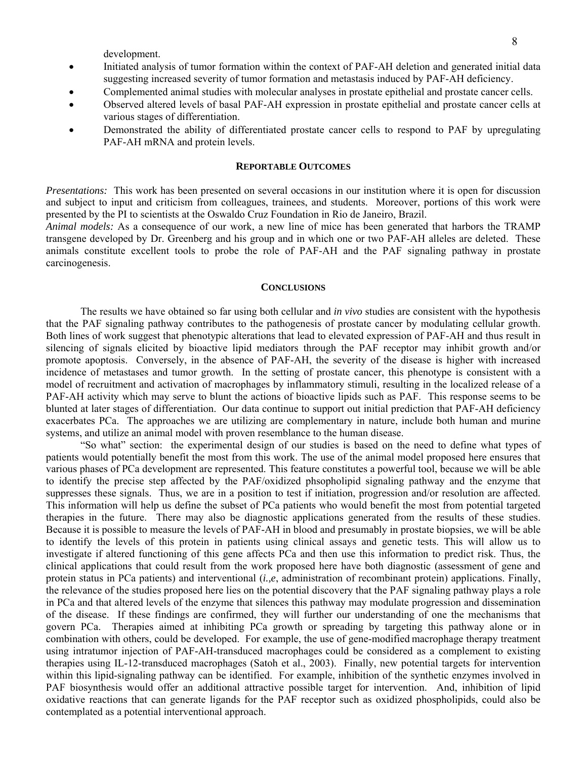development.

- Initiated analysis of tumor formation within the context of PAF-AH deletion and generated initial data suggesting increased severity of tumor formation and metastasis induced by PAF-AH deficiency.
- Complemented animal studies with molecular analyses in prostate epithelial and prostate cancer cells.
- Observed altered levels of basal PAF-AH expression in prostate epithelial and prostate cancer cells at various stages of differentiation.
- Demonstrated the ability of differentiated prostate cancer cells to respond to PAF by upregulating PAF-AH mRNA and protein levels.

### **REPORTABLE OUTCOMES**

*Presentations:* This work has been presented on several occasions in our institution where it is open for discussion and subject to input and criticism from colleagues, trainees, and students. Moreover, portions of this work were presented by the PI to scientists at the Oswaldo Cruz Foundation in Rio de Janeiro, Brazil.

*Animal models:* As a consequence of our work, a new line of mice has been generated that harbors the TRAMP transgene developed by Dr. Greenberg and his group and in which one or two PAF-AH alleles are deleted. These animals constitute excellent tools to probe the role of PAF-AH and the PAF signaling pathway in prostate carcinogenesis.

#### **CONCLUSIONS**

The results we have obtained so far using both cellular and *in vivo* studies are consistent with the hypothesis that the PAF signaling pathway contributes to the pathogenesis of prostate cancer by modulating cellular growth. Both lines of work suggest that phenotypic alterations that lead to elevated expression of PAF-AH and thus result in silencing of signals elicited by bioactive lipid mediators through the PAF receptor may inhibit growth and/or promote apoptosis. Conversely, in the absence of PAF-AH, the severity of the disease is higher with increased incidence of metastases and tumor growth. In the setting of prostate cancer, this phenotype is consistent with a model of recruitment and activation of macrophages by inflammatory stimuli, resulting in the localized release of a PAF-AH activity which may serve to blunt the actions of bioactive lipids such as PAF. This response seems to be blunted at later stages of differentiation. Our data continue to support out initial prediction that PAF-AH deficiency exacerbates PCa. The approaches we are utilizing are complementary in nature, include both human and murine systems, and utilize an animal model with proven resemblance to the human disease.

"So what" section: the experimental design of our studies is based on the need to define what types of patients would potentially benefit the most from this work. The use of the animal model proposed here ensures that various phases of PCa development are represented. This feature constitutes a powerful tool, because we will be able to identify the precise step affected by the PAF/oxidized phsopholipid signaling pathway and the enzyme that suppresses these signals. Thus, we are in a position to test if initiation, progression and/or resolution are affected. This information will help us define the subset of PCa patients who would benefit the most from potential targeted therapies in the future. There may also be diagnostic applications generated from the results of these studies. Because it is possible to measure the levels of PAF-AH in blood and presumably in prostate biopsies, we will be able to identify the levels of this protein in patients using clinical assays and genetic tests. This will allow us to investigate if altered functioning of this gene affects PCa and then use this information to predict risk. Thus, the clinical applications that could result from the work proposed here have both diagnostic (assessment of gene and protein status in PCa patients) and interventional (*i.,e*, administration of recombinant protein) applications. Finally, the relevance of the studies proposed here lies on the potential discovery that the PAF signaling pathway plays a role in PCa and that altered levels of the enzyme that silences this pathway may modulate progression and dissemination of the disease. If these findings are confirmed, they will further our understanding of one the mechanisms that govern PCa. Therapies aimed at inhibiting PCa growth or spreading by targeting this pathway alone or in combination with others, could be developed. For example, the use of gene-modified macrophage therapy treatment using intratumor injection of PAF-AH-transduced macrophages could be considered as a complement to existing therapies using IL-12-transduced macrophages (Satoh et al., 2003). Finally, new potential targets for intervention within this lipid-signaling pathway can be identified. For example, inhibition of the synthetic enzymes involved in PAF biosynthesis would offer an additional attractive possible target for intervention. And, inhibition of lipid oxidative reactions that can generate ligands for the PAF receptor such as oxidized phospholipids, could also be contemplated as a potential interventional approach.